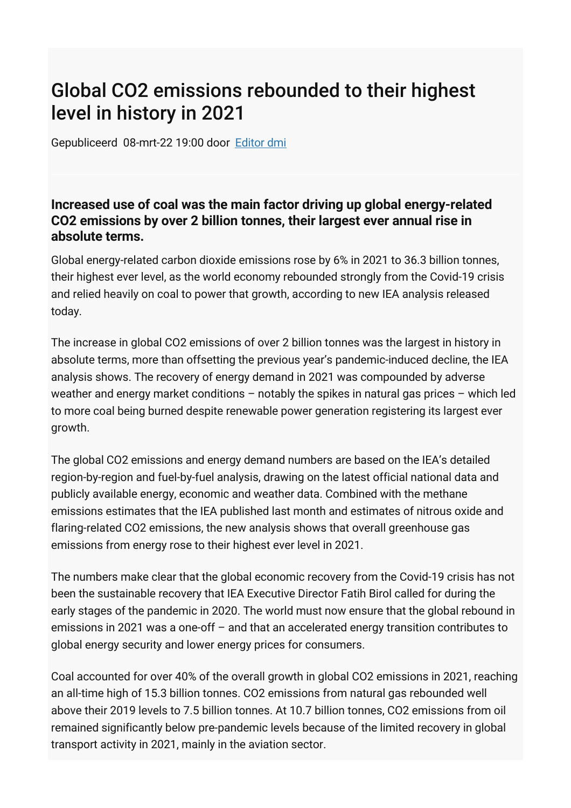## Global CO2 emissions rebounded to their highest level in history in 2021

Gepubliceerd 08-mrt-22 19:00 door [Editor dmi](https://dutchmobilityinnovations.com/people/Redactie-DMI)

## **Increased use of coal was the main factor driving up global energy-related CO2 emissions by over 2 billion tonnes, their largest ever annual rise in absolute terms.**

Global energy-related carbon dioxide emissions rose by 6% in 2021 to 36.3 billion tonnes, their highest ever level, as the world economy rebounded strongly from the Covid-19 crisis and relied heavily on coal to power that growth, according to new IEA analysis released today.

The increase in global CO2 emissions of over 2 billion tonnes was the largest in history in absolute terms, more than offsetting the previous year's pandemic-induced decline, the IEA analysis shows. The recovery of energy demand in 2021 was compounded by adverse weather and energy market conditions – notably the spikes in natural gas prices – which led to more coal being burned despite renewable power generation registering its largest ever growth.

The global CO2 emissions and energy demand numbers are based on the IEA's detailed region-by-region and fuel-by-fuel analysis, drawing on the latest official national data and publicly available energy, economic and weather data. Combined with the methane emissions estimates that the IEA published last month and estimates of nitrous oxide and flaring-related CO2 emissions, the new analysis shows that overall greenhouse gas emissions from energy rose to their highest ever level in 2021.

The numbers make clear that the global economic recovery from the Covid-19 crisis has not been the sustainable recovery that IEA Executive Director Fatih Birol called for during the early stages of the pandemic in 2020. The world must now ensure that the global rebound in emissions in 2021 was a one-off – and that an accelerated energy transition contributes to global energy security and lower energy prices for consumers.

Coal accounted for over 40% of the overall growth in global CO2 emissions in 2021, reaching an all-time high of 15.3 billion tonnes. CO2 emissions from natural gas rebounded well above their 2019 levels to 7.5 billion tonnes. At 10.7 billion tonnes, CO2 emissions from oil remained significantly below pre-pandemic levels because of the limited recovery in global transport activity in 2021, mainly in the aviation sector.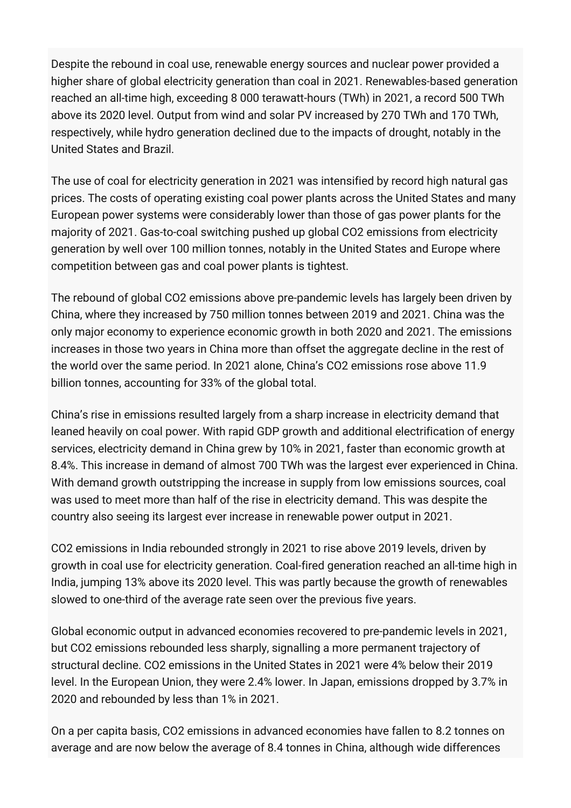Despite the rebound in coal use, renewable energy sources and nuclear power provided a higher share of global electricity generation than coal in 2021. Renewables-based generation reached an all-time high, exceeding 8 000 terawatt-hours (TWh) in 2021, a record 500 TWh above its 2020 level. Output from wind and solar PV increased by 270 TWh and 170 TWh, respectively, while hydro generation declined due to the impacts of drought, notably in the United States and Brazil.

The use of coal for electricity generation in 2021 was intensified by record high natural gas prices. The costs of operating existing coal power plants across the United States and many European power systems were considerably lower than those of gas power plants for the majority of 2021. Gas-to-coal switching pushed up global CO2 emissions from electricity generation by well over 100 million tonnes, notably in the United States and Europe where competition between gas and coal power plants is tightest.

The rebound of global CO2 emissions above pre-pandemic levels has largely been driven by China, where they increased by 750 million tonnes between 2019 and 2021. China was the only major economy to experience economic growth in both 2020 and 2021. The emissions increases in those two years in China more than offset the aggregate decline in the rest of the world over the same period. In 2021 alone, China's CO2 emissions rose above 11.9 billion tonnes, accounting for 33% of the global total.

China's rise in emissions resulted largely from a sharp increase in electricity demand that leaned heavily on coal power. With rapid GDP growth and additional electrification of energy services, electricity demand in China grew by 10% in 2021, faster than economic growth at 8.4%. This increase in demand of almost 700 TWh was the largest ever experienced in China. With demand growth outstripping the increase in supply from low emissions sources, coal was used to meet more than half of the rise in electricity demand. This was despite the country also seeing its largest ever increase in renewable power output in 2021.

CO2 emissions in India rebounded strongly in 2021 to rise above 2019 levels, driven by growth in coal use for electricity generation. Coal-fired generation reached an all-time high in India, jumping 13% above its 2020 level. This was partly because the growth of renewables slowed to one-third of the average rate seen over the previous five years.

Global economic output in advanced economies recovered to pre-pandemic levels in 2021, but CO2 emissions rebounded less sharply, signalling a more permanent trajectory of structural decline. CO2 emissions in the United States in 2021 were 4% below their 2019 level. In the European Union, they were 2.4% lower. In Japan, emissions dropped by 3.7% in 2020 and rebounded by less than 1% in 2021.

On a per capita basis, CO2 emissions in advanced economies have fallen to 8.2 tonnes on average and are now below the average of 8.4 tonnes in China, although wide differences